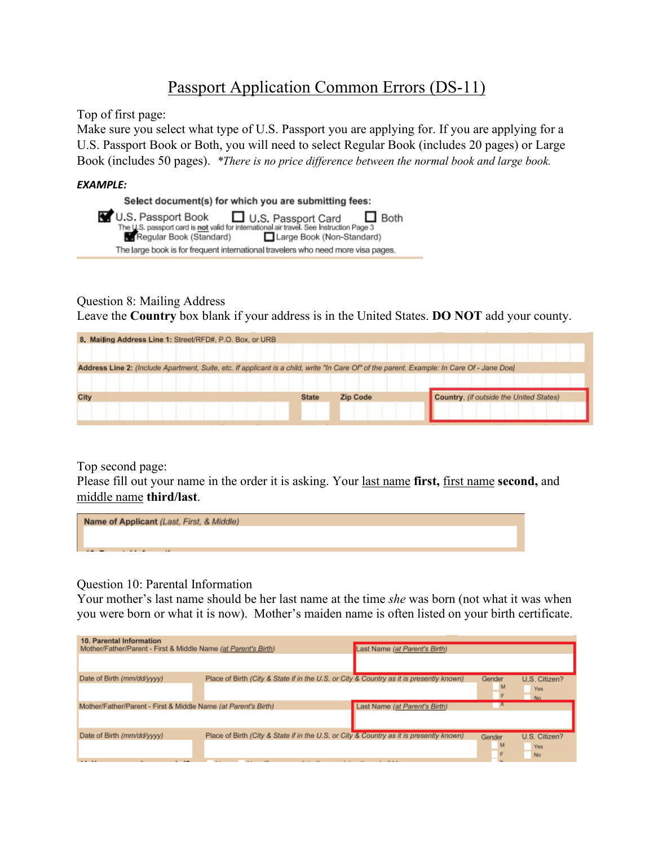## Passport Application Common Errors (DS-11)

Top of first page:

Make sure you select what type of U.S. Passport you are applying for. If you are applying for a U.S. Passport Book or Both, you will need to select Regular Book (includes 20 pages) or Large Book (includes 50 pages). *\*There is no price difference between the normal book and large book.*

## *EXAMPLE:*



## Question 8: Mailing Address

Leave the **Country** box blank if your address is in the United States. **DO NOT** add your county.

| 8. Mailing Address Line 1: Street/RFD#, P.O. Box, or URB                                                                                   |              |                 |                                         |
|--------------------------------------------------------------------------------------------------------------------------------------------|--------------|-----------------|-----------------------------------------|
| Address Line 2: (Include Apartment, Suite, etc. If applicant is a child, write "In Care Of" of the parent. Example: In Care Of - Jane Doe) |              |                 |                                         |
| City                                                                                                                                       | <b>State</b> | <b>Zip Code</b> | Country, (if outside the United States) |
|                                                                                                                                            |              |                 |                                         |

Top second page:

Please fill out your name in the order it is asking. Your last name **first,** first name **second,** and middle name **third/last**.



Question 10: Parental Information

Your mother's last name should be her last name at the time *she* was born (not what it was when you were born or what it is now). Mother's maiden name is often listed on your birth certificate.

| 10. Parental Information<br>Mother/Father/Parent - First & Middle Name (at Parent's Birth) |                                                                                         | Last Name (at Parent's Birth) |             |                                   |
|--------------------------------------------------------------------------------------------|-----------------------------------------------------------------------------------------|-------------------------------|-------------|-----------------------------------|
| Date of Birth (mm/dd/yyyy)                                                                 | Place of Birth (City & State if in the U.S. or City & Country as it is presently known) |                               | Gender<br>M | U.S. Citizen?<br>Yes<br>No        |
| Mother/Father/Parent - First & Middle Name (at Parent's Birth)                             |                                                                                         | Last Name (at Parent's Birth) | X           |                                   |
| Date of Birth (mm/dd/yyyy)<br>$2.2 - 1.2$                                                  | Place of Birth (City & State if in the U.S. or City & Country as it is presently known) |                               | Gender<br>M | U.S. Citizen?<br>Yes<br><b>No</b> |